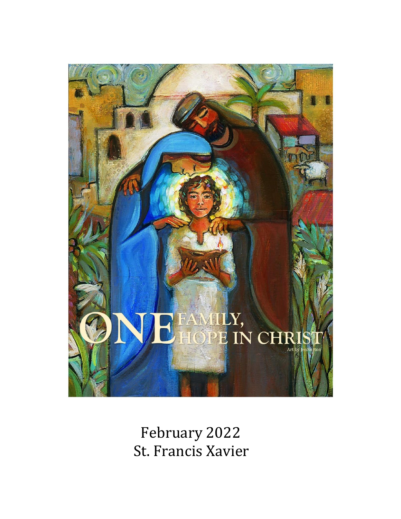

February 2022 St. Francis Xavier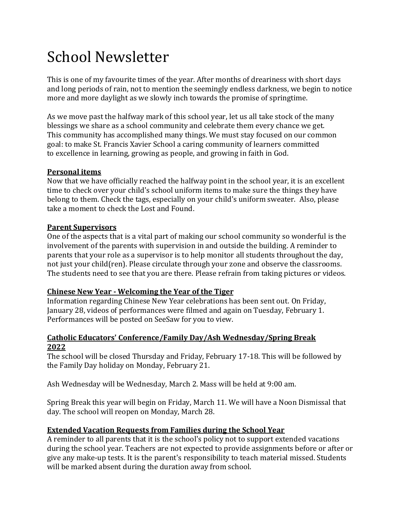# School Newsletter

This is one of my favourite times of the year. After months of dreariness with short days and long periods of rain, not to mention the seemingly endless darkness, we begin to notice more and more daylight as we slowly inch towards the promise of springtime.

As we move past the halfway mark of this school year, let us all take stock of the many blessings we share as a school community and celebrate them every chance we get. This community has accomplished many things. We must stay focused on our common goal: to make St. Francis Xavier School a caring community of learners committed to excellence in learning, growing as people, and growing in faith in God.

## **Personal items**

Now that we have officially reached the halfway point in the school year, it is an excellent time to check over your child's school uniform items to make sure the things they have belong to them. Check the tags, especially on your child's uniform sweater. Also, please take a moment to check the Lost and Found.

#### **Parent Supervisors**

One of the aspects that is a vital part of making our school community so wonderful is the involvement of the parents with supervision in and outside the building. A reminder to parents that your role as a supervisor is to help monitor all students throughout the day, not just your child(ren). Please circulate through your zone and observe the classrooms. The students need to see that you are there. Please refrain from taking pictures or videos.

## **Chinese New Year - Welcoming the Year of the Tiger**

Information regarding Chinese New Year celebrations has been sent out. On Friday, January 28, videos of performances were filmed and again on Tuesday, February 1. Performances will be posted on SeeSaw for you to view.

#### **Catholic Educators' Conference/Family Day/Ash Wednesday/Spring Break 2022**

The school will be closed Thursday and Friday, February 17-18. This will be followed by the Family Day holiday on Monday, February 21.

Ash Wednesday will be Wednesday, March 2. Mass will be held at 9:00 am.

Spring Break this year will begin on Friday, March 11. We will have a Noon Dismissal that day. The school will reopen on Monday, March 28.

## **Extended Vacation Requests from Families during the School Year**

A reminder to all parents that it is the school's policy not to support extended vacations during the school year. Teachers are not expected to provide assignments before or after or give any make-up tests. It is the parent's responsibility to teach material missed. Students will be marked absent during the duration away from school.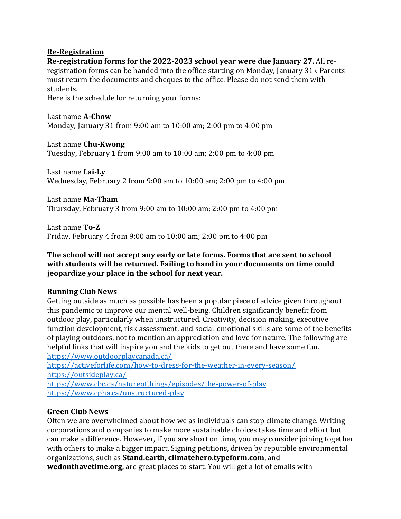#### **Re-Registration**

**Re-registration forms for the 2022-2023 school year were due January 27.** All reregistration forms can be handed into the office starting on Monday, January 31  $\cdot$ . Parents must return the documents and cheques to the office. Please do not send them with students.

Here is the schedule for returning your forms:

Last name **A-Chow** Monday, January 31 from 9:00 am to 10:00 am; 2:00 pm to 4:00 pm

Last name **Chu-Kwong** Tuesday, February 1 from 9:00 am to 10:00 am; 2:00 pm to 4:00 pm

Last name **Lai-Ly** Wednesday, February 2 from 9:00 am to 10:00 am; 2:00 pm to 4:00 pm

Last name **Ma-Tham** Thursday, February 3 from 9:00 am to 10:00 am; 2:00 pm to 4:00 pm

Last name **To-Z** Friday, February 4 from 9:00 am to 10:00 am; 2:00 pm to 4:00 pm

#### **The school will not accept any early or late forms. Forms that are sent to school with students will be returned. Failing to hand in your documents on time could jeopardize your place in the school for next year.**

#### **Running Club News**

Getting outside as much as possible has been a popular piece of advice given throughout this pandemic to improve our mental well-being. Children significantly benefit from outdoor play, particularly when unstructured. Creativity, decision making, executive function development, risk assessment, and social-emotional skills are some of the benefits of playing outdoors, not to mention an appreciation and love for nature. The following are helpful links that will inspire you and the kids to get out there and have some fun. <https://www.outdoorplaycanada.ca/>

<https://activeforlife.com/how-to-dress-for-the-weather-in-every-season/> <https://outsideplay.ca/> <https://www.cbc.ca/natureofthings/episodes/the-power-of-play>

<https://www.cpha.ca/unstructured-play>

## **Green Club News**

Often we are overwhelmed about how we as individuals can stop climate change. Writing corporations and companies to make more sustainable choices takes time and effort but can make a difference. However, if you are short on time, you may consider joining together with others to make a bigger impact. Signing petitions, driven by reputable environmental organizations, such as **Stand.earth, climatehero.typeform.com**, and **wedonthavetime.org,** are great places to start. You will get a lot of emails with